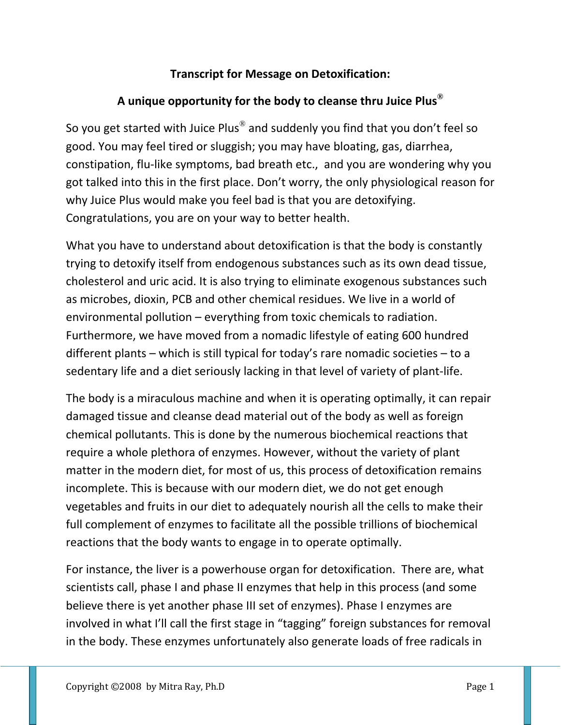## **Transcript for Message on Detoxification:**

## **A unique opportunity for the body to cleanse thru Juice Plus®**

So you get started with Juice Plus<sup>®</sup> and suddenly you find that you don't feel so good. You may feel tired or sluggish; you may have bloating, gas, diarrhea, constipation, flu‐like symptoms, bad breath etc., and you are wondering why you got talked into this in the first place. Don't worry, the only physiological reason for why Juice Plus would make you feel bad is that you are detoxifying. Congratulations, you are on your way to better health.

What you have to understand about detoxification is that the body is constantly trying to detoxify itself from endogenous substances such as its own dead tissue, cholesterol and uric acid. It is also trying to eliminate exogenous substances such as microbes, dioxin, PCB and other chemical residues. We live in a world of environmental pollution – everything from toxic chemicals to radiation. Furthermore, we have moved from a nomadic lifestyle of eating 600 hundred different plants – which is still typical for today's rare nomadic societies – to a sedentary life and a diet seriously lacking in that level of variety of plant‐life.

The body is a miraculous machine and when it is operating optimally, it can repair damaged tissue and cleanse dead material out of the body as well as foreign chemical pollutants. This is done by the numerous biochemical reactions that require a whole plethora of enzymes. However, without the variety of plant matter in the modern diet, for most of us, this process of detoxification remains incomplete. This is because with our modern diet, we do not get enough vegetables and fruits in our diet to adequately nourish all the cells to make their full complement of enzymes to facilitate all the possible trillions of biochemical reactions that the body wants to engage in to operate optimally.

For instance, the liver is a powerhouse organ for detoxification. There are, what scientists call, phase I and phase II enzymes that help in this process (and some believe there is yet another phase III set of enzymes). Phase I enzymes are involved in what I'll call the first stage in "tagging" foreign substances for removal in the body. These enzymes unfortunately also generate loads of free radicals in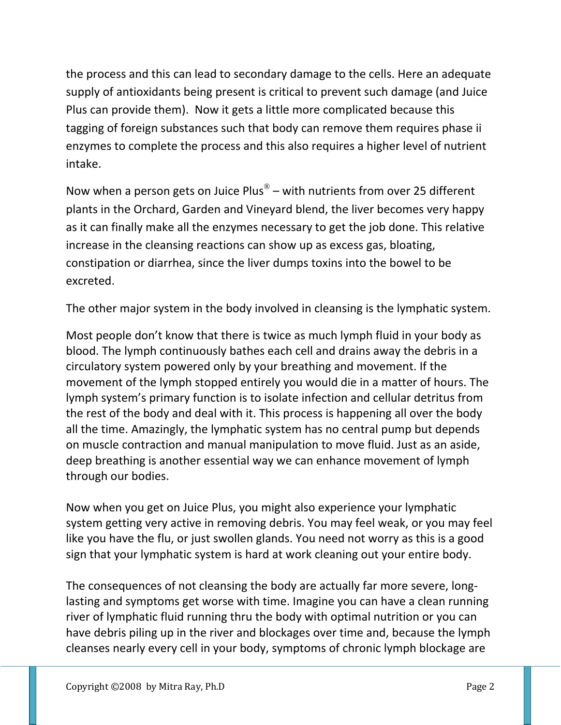the process and this can lead to secondary damage to the cells. Here an adequate supply of antioxidants being present is critical to prevent such damage (and Juice Plus can provide them). Now it gets a little more complicated because this tagging of foreign substances such that body can remove them requires phase ii enzymes to complete the process and this also requires a higher level of nutrient intake.

Now when a person gets on Juice Plus<sup>®</sup> – with nutrients from over 25 different plants in the Orchard, Garden and Vineyard blend, the liver becomes very happy as it can finally make all the enzymes necessary to get the job done. This relative increase in the cleansing reactions can show up as excess gas, bloating, constipation or diarrhea, since the liver dumps toxins into the bowel to be excreted.

The other major system in the body involved in cleansing is the lymphatic system.

Most people don't know that there is twice as much lymph fluid in your body as blood. The lymph continuously bathes each cell and drains away the debris in a circulatory system powered only by your breathing and movement. If the movement of the lymph stopped entirely you would die in a matter of hours. The lymph system's primary function is to isolate infection and cellular detritus from the rest of the body and deal with it. This process is happening all over the body all the time. Amazingly, the lymphatic system has no central pump but depends on muscle contraction and manual manipulation to move fluid. Just as an aside, deep breathing is another essential way we can enhance movement of lymph through our bodies.

Now when you get on Juice Plus, you might also experience your lymphatic system getting very active in removing debris. You may feel weak, or you may feel like you have the flu, or just swollen glands. You need not worry as this is a good sign that your lymphatic system is hard at work cleaning out your entire body.

The consequences of not cleansing the body are actually far more severe, long‐ lasting and symptoms get worse with time. Imagine you can have a clean running river of lymphatic fluid running thru the body with optimal nutrition or you can have debris piling up in the river and blockages over time and, because the lymph cleanses nearly every cell in your body, symptoms of chronic lymph blockage are